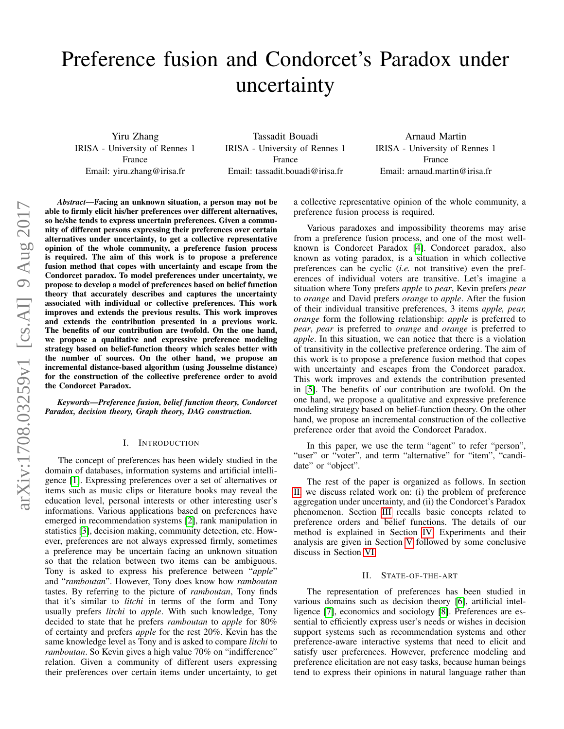# Preference fusion and Condorcet's Paradox under uncertainty

Yiru Zhang IRISA - University of Rennes 1 France Email: yiru.zhang@irisa.fr

Tassadit Bouadi IRISA - University of Rennes 1 France Email: tassadit.bouadi@irisa.fr

Arnaud Martin IRISA - University of Rennes 1 France Email: arnaud.martin@irisa.fr

*Abstract*—Facing an unknown situation, a person may not be able to firmly elicit his/her preferences over different alternatives, so he/she tends to express uncertain preferences. Given a community of different persons expressing their preferences over certain alternatives under uncertainty, to get a collective representative opinion of the whole community, a preference fusion process is required. The aim of this work is to propose a preference fusion method that copes with uncertainty and escape from the Condorcet paradox. To model preferences under uncertainty, we propose to develop a model of preferences based on belief function theory that accurately describes and captures the uncertainty associated with individual or collective preferences. This work improves and extends the previous results. This work improves and extends the contribution presented in a previous work. The benefits of our contribution are twofold. On the one hand, we propose a qualitative and expressive preference modeling strategy based on belief-function theory which scales better with the number of sources. On the other hand, we propose an incremental distance-based algorithm (using Jousselme distance) for the construction of the collective preference order to avoid the Condorcet Paradox.

*Keywords*—*Preference fusion, belief function theory, Condorcet Paradox, decision theory, Graph theory, DAG construction.*

### I. INTRODUCTION

The concept of preferences has been widely studied in the domain of databases, information systems and artificial intelligence [\[1\]](#page-7-0). Expressing preferences over a set of alternatives or items such as music clips or literature books may reveal the education level, personal interests or other interesting user's informations. Various applications based on preferences have emerged in recommendation systems [\[2\]](#page-7-1), rank manipulation in statistics [\[3\]](#page-7-2), decision making, community detection, etc. However, preferences are not always expressed firmly, sometimes a preference may be uncertain facing an unknown situation so that the relation between two items can be ambiguous. Tony is asked to express his preference between "*apple*" and "*ramboutan*". However, Tony does know how *ramboutan* tastes. By referring to the picture of *ramboutan*, Tony finds that it's similar to *litchi* in terms of the form and Tony usually prefers *litchi* to *apple*. With such knowledge, Tony decided to state that he prefers *ramboutan* to *apple* for 80% of certainty and prefers *apple* for the rest 20%. Kevin has the same knowledge level as Tony and is asked to compare *litchi* to *ramboutan*. So Kevin gives a high value 70% on "indifference" relation. Given a community of different users expressing their preferences over certain items under uncertainty, to get a collective representative opinion of the whole community, a preference fusion process is required.

Various paradoxes and impossibility theorems may arise from a preference fusion process, and one of the most wellknown is Condorcet Paradox [\[4\]](#page-7-3). Condorcet paradox, also known as voting paradox, is a situation in which collective preferences can be cyclic (*i.e.* not transitive) even the preferences of individual voters are transitive. Let's imagine a situation where Tony prefers *apple* to *pear*, Kevin prefers *pear* to *orange* and David prefers *orange* to *apple*. After the fusion of their individual transitive preferences, 3 items *apple, pear, orange* form the following relationship: *apple* is preferred to *pear*, *pear* is preferred to *orange* and *orange* is preferred to *apple*. In this situation, we can notice that there is a violation of transitivity in the collective preference ordering. The aim of this work is to propose a preference fusion method that copes with uncertainty and escapes from the Condorcet paradox. This work improves and extends the contribution presented in [\[5\]](#page-7-4). The benefits of our contribution are twofold. On the one hand, we propose a qualitative and expressive preference modeling strategy based on belief-function theory. On the other hand, we propose an incremental construction of the collective preference order that avoid the Condorcet Paradox.

In this paper, we use the term "agent" to refer "person", "user" or "voter", and term "alternative" for "item", "candidate" or "object".

The rest of the paper is organized as follows. In section [II,](#page-0-0) we discuss related work on: (i) the problem of preference aggregation under uncertainty, and (ii) the Condorcet's Paradox phenomenon. Section [III](#page-1-0) recalls basic concepts related to preference orders and belief functions. The details of our method is explained in Section [IV.](#page-2-0) Experiments and their analysis are given in Section [V](#page-5-0) followed by some conclusive discuss in Section [VI.](#page-7-5)

## II. STATE-OF-THE-ART

<span id="page-0-0"></span>The representation of preferences has been studied in various domains such as decision theory [\[6\]](#page-7-6), artificial intelligence [\[7\]](#page-7-7), economics and sociology [\[8\]](#page-7-8). Preferences are essential to efficiently express user's needs or wishes in decision support systems such as recommendation systems and other preference-aware interactive systems that need to elicit and satisfy user preferences. However, preference modeling and preference elicitation are not easy tasks, because human beings tend to express their opinions in natural language rather than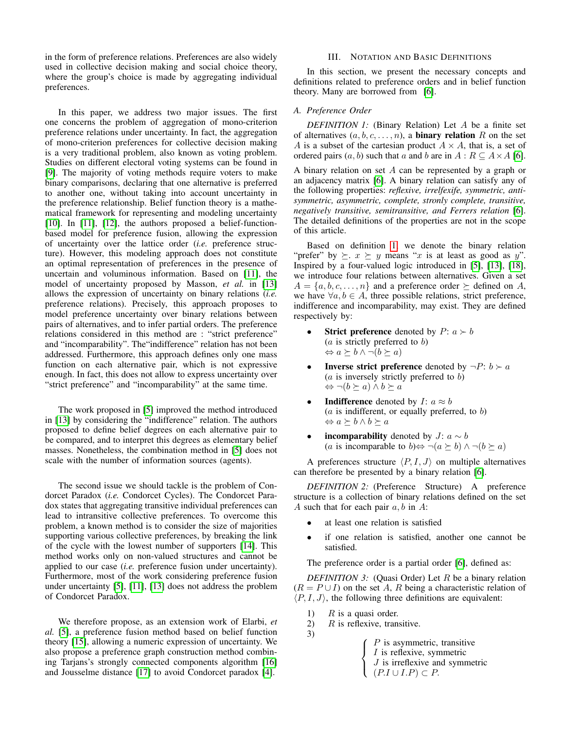in the form of preference relations. Preferences are also widely used in collective decision making and social choice theory, where the group's choice is made by aggregating individual preferences.

In this paper, we address two major issues. The first one concerns the problem of aggregation of mono-criterion preference relations under uncertainty. In fact, the aggregation of mono-criterion preferences for collective decision making is a very traditional problem, also known as voting problem. Studies on different electoral voting systems can be found in [\[9\]](#page-7-9). The majority of voting methods require voters to make binary comparisons, declaring that one alternative is preferred to another one, without taking into account uncertainty in the preference relationship. Belief function theory is a mathematical framework for representing and modeling uncertainty [\[10\]](#page-7-10). In [\[11\]](#page-7-11), [\[12\]](#page-7-12), the authors proposed a belief-functionbased model for preference fusion, allowing the expression of uncertainty over the lattice order (*i.e.* preference structure). However, this modeling approach does not constitute an optimal representation of preferences in the presence of uncertain and voluminous information. Based on [\[11\]](#page-7-11), the model of uncertainty proposed by Masson, *et al.* in [\[13\]](#page-7-13) allows the expression of uncertainty on binary relations (*i.e.* preference relations). Precisely, this approach proposes to model preference uncertainty over binary relations between pairs of alternatives, and to infer partial orders. The preference relations considered in this method are : "strict preference" and "incomparability". The"indifference" relation has not been addressed. Furthermore, this approach defines only one mass function on each alternative pair, which is not expressive enough. In fact, this does not allow to express uncertainty over "strict preference" and "incomparability" at the same time.

The work proposed in [\[5\]](#page-7-4) improved the method introduced in [\[13\]](#page-7-13) by considering the "indifference" relation. The authors proposed to define belief degrees on each alternative pair to be compared, and to interpret this degrees as elementary belief masses. Nonetheless, the combination method in [\[5\]](#page-7-4) does not scale with the number of information sources (agents).

The second issue we should tackle is the problem of Condorcet Paradox (*i.e.* Condorcet Cycles). The Condorcet Paradox states that aggregating transitive individual preferences can lead to intransitive collective preferences. To overcome this problem, a known method is to consider the size of majorities supporting various collective preferences, by breaking the link of the cycle with the lowest number of supporters [\[14\]](#page-7-14). This method works only on non-valued structures and cannot be applied to our case (*i.e.* preference fusion under uncertainty). Furthermore, most of the work considering preference fusion under uncertainty [\[5\]](#page-7-4), [\[11\]](#page-7-11), [\[13\]](#page-7-13) does not address the problem of Condorcet Paradox.

We therefore propose, as an extension work of Elarbi, *et al.* [\[5\]](#page-7-4), a preference fusion method based on belief function theory [\[15\]](#page-7-15), allowing a numeric expression of uncertainty. We also propose a preference graph construction method combining Tarjans's strongly connected components algorithm [\[16\]](#page-7-16) and Jousselme distance [\[17\]](#page-7-17) to avoid Condorcet paradox [\[4\]](#page-7-3).

## III. NOTATION AND BASIC DEFINITIONS

<span id="page-1-0"></span>In this section, we present the necessary concepts and definitions related to preference orders and in belief function theory. Many are borrowed from [\[6\]](#page-7-6).

# *A. Preference Order*

<span id="page-1-1"></span>*DEFINITION 1:* (Binary Relation) Let A be a finite set of alternatives  $(a, b, c, \dots, n)$ , a **binary relation** R on the set A is a subset of the cartesian product  $A \times A$ , that is, a set of ordered pairs  $(a, b)$  such that a and b are in  $A : R \subseteq A \times A$  [\[6\]](#page-7-6).

A binary relation on set A can be represented by a graph or an adjacency matrix [\[6\]](#page-7-6). A binary relation can satisfy any of the following properties: *reflexive, irrelfexife, symmetric, antisymmetric, asymmetric, complete, stronly complete, transitive, negatively transitive, semitransitive, and Ferrers relation* [\[6\]](#page-7-6). The detailed definitions of the properties are not in the scope of this article.

Based on definition [1,](#page-1-1) we denote the binary relation "prefer" by  $\succeq$ .  $x \succeq y$  means "x is at least as good as y". Inspired by a four-valued logic introduced in [\[5\]](#page-7-4), [\[13\]](#page-7-13), [\[18\]](#page-7-18), we introduce four relations between alternatives. Given a set  $A = \{a, b, c, \dots, n\}$  and a preference order  $\succeq$  defined on A, we have  $\forall a, b \in A$ , three possible relations, strict preference, indifference and incomparability, may exist. They are defined respectively by:

- **Strict preference** denoted by  $P: a \succ b$  $(a$  is strictly preferred to b)  $\Leftrightarrow a \succ b \wedge \neg (b \succ a)$
- **Inverse strict preference** denoted by  $\neg P: b \succ a$  $(a)$  is inversely strictly preferred to b)  $\Leftrightarrow \neg(b \succeq a) \wedge b \succeq a$
- **Indifference** denoted by *I*:  $a \approx b$  $(a$  is indifferent, or equally preferred, to  $b$ )  $\Leftrightarrow a \succ b \wedge b \succ a$
- **incomparability** denoted by  $J: a \sim b$ (a is incomparable to b) $\Leftrightarrow \neg(a \succ b) \land \neg(b \succ a)$

A preferences structure  $\langle P, I, J \rangle$  on multiple alternatives can therefore be presented by a binary relation [\[6\]](#page-7-6).

*DEFINITION 2:* (Preference Structure) A preference structure is a collection of binary relations defined on the set A such that for each pair  $a, b$  in A:

- at least one relation is satisfied
- if one relation is satisfied, another one cannot be satisfied.

The preference order is a partial order [\[6\]](#page-7-6), defined as:

*DEFINITION 3:* (Quasi Order) Let R be a binary relation  $(R = P \cup I)$  on the set A, R being a characteristic relation of  $\langle P, I, J \rangle$ , the following three definitions are equivalent:

- 1)  $R$  is a quasi order.
- 2)  $R$  is reflexive, transitive. 3)

 $\sqrt{ }$  $\int$ 

 $\overline{\mathcal{L}}$ 

<span id="page-1-2"></span> $P$  is asymmetric, transitive  $I$  is reflexive, symmetric  $J$  is irreflexive and symmetric  $(P.I \cup I.P) \subset P$ .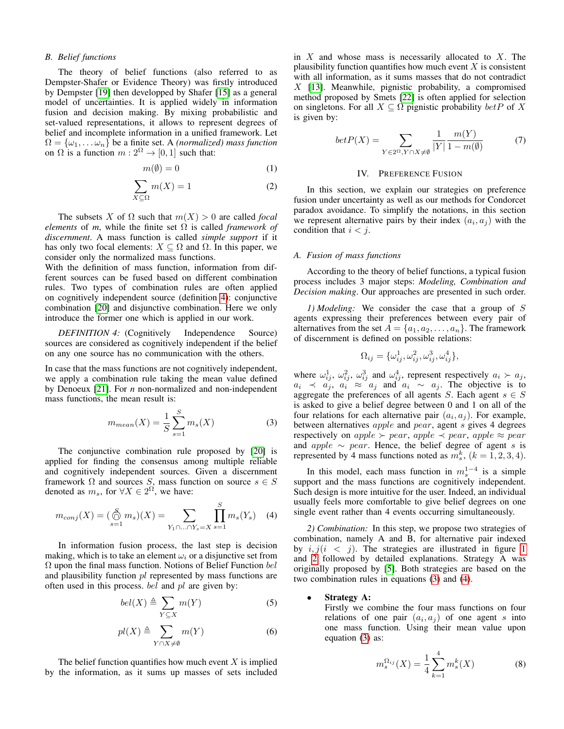## *B. Belief functions*

The theory of belief functions (also referred to as Dempster-Shafer or Evidence Theory) was firstly introduced by Dempster [\[19\]](#page-7-19) then developped by Shafer [\[15\]](#page-7-15) as a general model of uncertainties. It is applied widely in information fusion and decision making. By mixing probabilistic and set-valued representations, it allows to represent degrees of belief and incomplete information in a unified framework. Let  $\Omega = {\omega_1, \dots \omega_n}$  be a finite set. A *(normalized) mass function* on  $\Omega$  is a function  $m: 2^{\Omega} \to [0, 1]$  such that:

$$
m(\emptyset) = 0 \tag{1}
$$

$$
\sum_{X \subseteq \Omega} m(X) = 1 \tag{2}
$$

The subsets X of  $\Omega$  such that  $m(X) > 0$  are called *focal elements* of *m*, while the finite set  $\Omega$  is called *framework of discernment*. A mass function is called *simple support* if it has only two focal elements:  $X \subseteq \Omega$  and  $\Omega$ . In this paper, we consider only the normalized mass functions.

With the definition of mass function, information from different sources can be fused based on different combination rules. Two types of combination rules are often applied on cognitively independent source (definition [4\)](#page-2-1): conjunctive combination [\[20\]](#page-7-20) and disjunctive combination. Here we only introduce the former one which is applied in our work.

*DEFINITION 4:* (Cognitively Independence Source) sources are considered as cognitively independent if the belief on any one source has no communication with the others.

In case that the mass functions are not cognitively independent, we apply a combination rule taking the mean value defined by Denoeux [\[21\]](#page-7-21). For *n* non-normalized and non-independent mass functions, the mean result is:

<span id="page-2-2"></span>
$$
m_{mean}(X) = \frac{1}{S} \sum_{s=1}^{S} m_s(X)
$$
 (3)

The conjunctive combination rule proposed by [\[20\]](#page-7-20) is applied for finding the consensus among multiple reliable and cognitively independent sources. Given a discernment framework  $\Omega$  and sources S, mass function on source  $s \in S$ denoted as  $m_s$ , for  $\forall X \in 2^{\Omega}$ , we have:

<span id="page-2-3"></span>
$$
m_{conj}(X) = (\bigcirc_{s=1}^{S} m_s)(X) = \sum_{Y_1 \cap ... \cap Y_s = X} \prod_{s=1}^{S} m_s(Y_s) \quad (4)
$$

In information fusion process, the last step is decision making, which is to take an element  $\omega_i$  or a disjunctive set from  $\Omega$  upon the final mass function. Notions of Belief Function bel and plausibility function pl represented by mass functions are often used in this process. bel and pl are given by:

$$
bel(X) \triangleq \sum_{Y \subseteq X} m(Y) \tag{5}
$$

$$
pl(X) \triangleq \sum_{Y \cap X \neq \emptyset} m(Y) \tag{6}
$$

The belief function quantifies how much event  $X$  is implied by the information, as it sums up masses of sets included

in  $X$  and whose mass is necessarily allocated to  $X$ . The plausibility function quantifies how much event  $X$  is consistent with all information, as it sums masses that do not contradict  $X$  [\[13\]](#page-7-13). Meanwhile, pignistic probability, a compromised method proposed by Smets [\[22\]](#page-7-22) is often applied for selection on singletons. For all  $X \subseteq \Omega$  pignistic probability *betP* of X is given by:

$$
betP(X) = \sum_{Y \in 2^{\Omega}, Y \cap X \neq \emptyset} \frac{1}{|Y|} \frac{m(Y)}{1 - m(\emptyset)} \tag{7}
$$

## IV. PREFERENCE FUSION

<span id="page-2-0"></span>In this section, we explain our strategies on preference fusion under uncertainty as well as our methods for Condorcet paradox avoidance. To simplify the notations, in this section we represent alternative pairs by their index  $(a_i, a_j)$  with the condition that  $i < j$ .

#### <span id="page-2-5"></span>*A. Fusion of mass functions*

According to the theory of belief functions, a typical fusion process includes 3 major steps: *Modeling, Combination and Decision making*. Our approaches are presented in such order.

<span id="page-2-1"></span>*1) Modeling:* We consider the case that a group of S agents expressing their preferences between every pair of alternatives from the set  $A = \{a_1, a_2, \ldots, a_n\}$ . The framework of discernment is defined on possible relations:

$$
\Omega_{ij} = \{\omega_{ij}^1, \omega_{ij}^2, \omega_{ij}^3, \omega_{ij}^4\},\
$$

where  $\omega_{ij}^1$ ,  $\omega_{ij}^2$ ,  $\omega_{ij}^3$  and  $\omega_{ij}^4$ , represent respectively  $a_i \succ a_j$ ,  $a_i \prec a_j$ ,  $a_i \approx a_j$  and  $a_i \sim a_j$ . The objective is to aggregate the preferences of all agents S. Each agent  $s \in S$ is asked to give a belief degree between 0 and 1 on all of the four relations for each alternative pair  $(a_i, a_j)$ . For example, between alternatives *apple* and *pear*, agent *s* gives 4 degrees respectively on  $apple \succ pear$ ,  $apple \prec pear$ ,  $apple \approx pear$ and *apple*  $\sim$  *pear.* Hence, the belief degree of agent s is represented by 4 mass functions noted as  $m_s^k$ ,  $(k = 1, 2, 3, 4)$ .

In this model, each mass function in  $m_s^{1-4}$  is a simple support and the mass functions are cognitively independent. Such design is more intuitive for the user. Indeed, an individual usually feels more comfortable to give belief degrees on one single event rather than 4 events occurring simultaneously.

*2) Combination:* In this step, we propose two strategies of combination, namely A and B, for alternative pair indexed by  $i, j(i \lt j)$ . The strategies are illustrated in figure [1](#page-3-0) and [2](#page-3-1) followed by detailed explanations. Strategy A was originally proposed by [\[5\]](#page-7-4). Both strategies are based on the two combination rules in equations [\(3\)](#page-2-2) and [\(4\)](#page-2-3).

#### **Strategy A:**

Firstly we combine the four mass functions on four relations of one pair  $(a_i, a_j)$  of one agent s into one mass function. Using their mean value upon equation [\(3\)](#page-2-2) as:

<span id="page-2-4"></span>
$$
m_s^{\Omega_{ij}}(X) = \frac{1}{4} \sum_{k=1}^{4} m_s^k(X)
$$
 (8)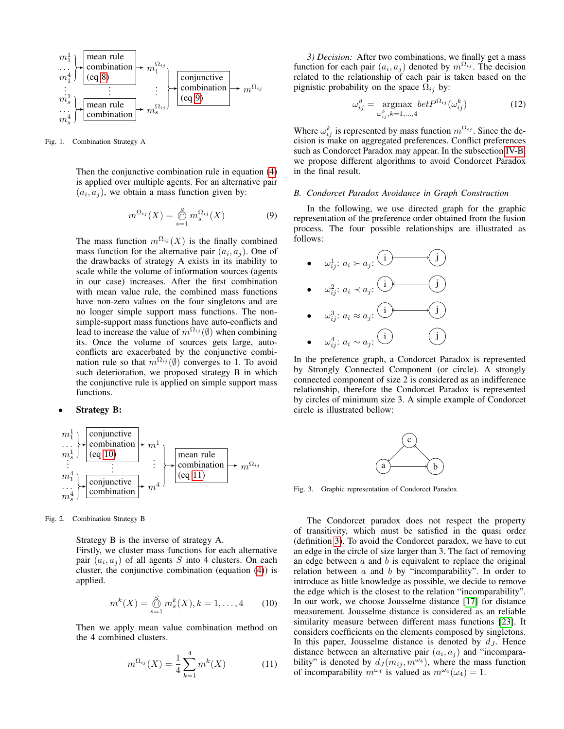

<span id="page-3-0"></span>Fig. 1. Combination Strategy A

Then the conjunctive combination rule in equation [\(4\)](#page-2-3) is applied over multiple agents. For an alternative pair  $(a_i, a_j)$ , we obtain a mass function given by:

<span id="page-3-2"></span>
$$
m^{\Omega_{ij}}(X) = \bigoplus_{s=1}^{S} m^{\Omega_{ij}}_s(X) \tag{9}
$$

The mass function  $m^{\Omega_{ij}}(X)$  is the finally combined mass function for the alternative pair  $(a_i, a_j)$ . One of the drawbacks of strategy A exists in its inability to scale while the volume of information sources (agents in our case) increases. After the first combination with mean value rule, the combined mass functions have non-zero values on the four singletons and are no longer simple support mass functions. The nonsimple-support mass functions have auto-conflicts and lead to increase the value of  $m^{\Omega_{ij}}(\emptyset)$  when combining its. Once the volume of sources gets large, autoconflicts are exacerbated by the conjunctive combination rule so that  $m^{\Omega_{ij}}(\emptyset)$  converges to 1. To avoid such deterioration, we proposed strategy B in which the conjunctive rule is applied on simple support mass functions.

#### **Strategy B:**



Fig. 2. Combination Strategy B

<span id="page-3-1"></span>Strategy B is the inverse of strategy A. Firstly, we cluster mass functions for each alternative pair  $(a_i, a_j)$  of all agents S into 4 clusters. On each cluster, the conjunctive combination (equation [\(4\)](#page-2-3)) is applied.

<span id="page-3-3"></span>
$$
m^{k}(X) = \bigcirc_{s=1}^{S} m_{s}^{k}(X), k = 1, ..., 4
$$
 (10)

Then we apply mean value combination method on the 4 combined clusters.

<span id="page-3-4"></span>
$$
m^{\Omega_{ij}}(X) = \frac{1}{4} \sum_{k=1}^{4} m^k(X) \tag{11}
$$

*3) Decision:* After two combinations, we finally get a mass function for each pair  $(a_i, a_j)$  denoted by  $m^{\Omega_{ij}}$ . The decision related to the relationship of each pair is taken based on the pignistic probability on the space  $\Omega_{ij}$  by:

<span id="page-3-6"></span>
$$
\omega_{ij}^d = \underset{\omega_{ij}^k, k=1,\dots,4}{\operatorname{argmax}} \, betP^{\Omega_{ij}}(\omega_{ij}^k) \tag{12}
$$

Where  $\omega_{ij}^k$  is represented by mass function  $m^{\Omega_{ij}}$ . Since the decision is make on aggregated preferences. Conflict preferences such as Condorcet Paradox may appear. In the subsection [IV-B,](#page-3-5) we propose different algorithms to avoid Condorcet Paradox in the final result.

#### <span id="page-3-5"></span>*B. Condorcet Paradox Avoidance in Graph Construction*

In the following, we use directed graph for the graphic representation of the preference order obtained from the fusion process. The four possible relationships are illustrated as follows:



In the preference graph, a Condorcet Paradox is represented by Strongly Connected Component (or circle). A strongly connected component of size 2 is considered as an indifference relationship, therefore the Condorcet Paradox is represented by circles of minimum size 3. A simple example of Condorcet circle is illustrated bellow:



Fig. 3. Graphic representation of Condorcet Paradox

The Condorcet paradox does not respect the property of transitivity, which must be satisfied in the quasi order (definition [3\)](#page-1-2). To avoid the Condorcet paradox, we have to cut an edge in the circle of size larger than 3. The fact of removing an edge between  $a$  and  $b$  is equivalent to replace the original relation between  $a$  and  $b$  by "incomparability". In order to introduce as little knowledge as possible, we decide to remove the edge which is the closest to the relation "incomparability". In our work, we choose Jousselme distance [\[17\]](#page-7-17) for distance measurement. Jousselme distance is considered as an reliable similarity measure between different mass functions [\[23\]](#page-7-23). It considers coefficients on the elements composed by singletons. In this paper, Jousselme distance is denoted by  $d_J$ . Hence distance between an alternative pair  $(a_i, a_j)$  and "incomparability" is denoted by  $d_J(m_{ij}, m^{\omega_4})$ , where the mass function of incomparability  $m^{\omega_4}$  is valued as  $m^{\omega_4}(\omega_4) = 1$ .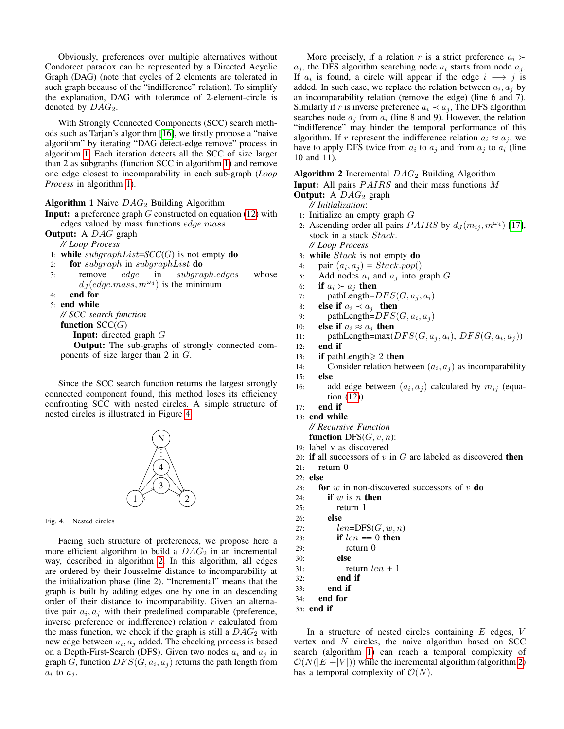Obviously, preferences over multiple alternatives without Condorcet paradox can be represented by a Directed Acyclic Graph (DAG) (note that cycles of 2 elements are tolerated in such graph because of the "indifference" relation). To simplify the explanation, DAG with tolerance of 2-element-circle is denoted by  $DAG_2$ .

With Strongly Connected Components (SCC) search methods such as Tarjan's algorithm [\[16\]](#page-7-16), we firstly propose a "naive algorithm" by iterating "DAG detect-edge remove" process in algorithm [1.](#page-4-0) Each iteration detects all the SCC of size larger than 2 as subgraphs (function SCC in algorithm [1\)](#page-4-0) and remove one edge closest to incomparability in each sub-graph (*Loop Process* in algorithm [1\)](#page-4-0).

<span id="page-4-0"></span>**Algorithm 1** Naive  $DAG_2$  Building Algorithm

**Input:** a preference graph  $G$  constructed on equation [\(12\)](#page-3-6) with edges valued by mass functions edge.mass

Output: A DAG graph

*// Loop Process*

1: **while** subgraph  $List=SCC(G)$  is not empty **do** 

2: for subgraph in subgraph List do

- 3: remove edge in subgraph.edges whose  $d_J (edge. mass, m^{\omega_4})$  is the minimum
- 4: end for

```
5: end while
```
*// SCC search function*

function  $SCC(G)$ 

Input: directed graph G

Output: The sub-graphs of strongly connected components of size larger than 2 in G.

Since the SCC search function returns the largest strongly connected component found, this method loses its efficiency confronting SCC with nested circles. A simple structure of nested circles is illustrated in Figure [4.](#page-4-1)



<span id="page-4-1"></span>Fig. 4. Nested circles

Facing such structure of preferences, we propose here a more efficient algorithm to build a  $DAG_2$  in an incremental way, described in algorithm [2.](#page-4-2) In this algorithm, all edges are ordered by their Jousselme distance to incomparability at the initialization phase (line 2). "Incremental" means that the graph is built by adding edges one by one in an descending order of their distance to incomparability. Given an alternative pair  $a_i$ ,  $a_j$  with their predefined comparable (preference, inverse preference or indifference) relation  $r$  calculated from the mass function, we check if the graph is still a  $DAG_2$  with new edge between  $a_i, a_j$  added. The checking process is based on a Depth-First-Search (DFS). Given two nodes  $a_i$  and  $a_j$  in graph G, function  $DFS(G, a_i, a_j)$  returns the path length from  $a_i$  to  $a_j$ .

More precisely, if a relation r is a strict preference  $a_i \succ$  $a_i$ , the DFS algorithm searching node  $a_i$  starts from node  $a_i$ . If  $a_i$  is found, a circle will appear if the edge  $i \rightarrow j$  is added. In such case, we replace the relation between  $a_i, a_j$  by an incomparability relation (remove the edge) (line 6 and 7). Similarly if r is inverse preference  $a_i \prec a_j$ , The DFS algorithm searches node  $a_i$  from  $a_i$  (line 8 and 9). However, the relation "indifference" may hinder the temporal performance of this algorithm. If r represent the indifference relation  $a_i \approx a_j$ , we have to apply DFS twice from  $a_i$  to  $a_j$  and from  $a_j$  to  $a_i$  (line 10 and 11).

<span id="page-4-2"></span>**Algorithm 2** Incremental  $DAG_2$  Building Algorithm

Input: All pairs  $PAIRS$  and their mass functions  $M$ 

**Output:** A  $DAG_2$  graph

*// Initialization*:

- 1: Initialize an empty graph  $G$
- 2: Ascending order all pairs *PAIRS* by  $d_J(m_{ij}, m^{\omega_4})$  [\[17\]](#page-7-17), stock in a stack Stack.
- *// Loop Process*
- 3: while  $Stack$  is not empty do
- 4: pair  $(a_i, a_j) = Stack.pop()$
- 5: Add nodes  $a_i$  and  $a_j$  into graph G
- 6: if  $a_i \succ a_j$  then
- 7: pathLength= $DFS(G, a_j, a_i)$
- 8: else if  $a_i \prec a_j$  then
- 9: pathLength= $DFS(G, a_i, a_j)$
- 10: **else if**  $a_i \approx a_j$  then
- 11:  $pathLength = max(DFS(G, a_j, a_i), DFS(G, a_i, a_j))$
- 12: end if
- 13: if pathLength $\geq 2$  then
- 14: Consider relation between  $(a_i, a_j)$  as incomparability 15: else
- 16: add edge between  $(a_i, a_j)$  calculated by  $m_{ij}$  (equation [\(12\)](#page-3-6))
- 17: end if
- 18: end while
	- *// Recursive Function* function  $DFS(G, v, n)$ :
- 19: label v as discovered
- 20: if all successors of  $v$  in  $G$  are labeled as discovered then
- 21: return 0
- 22: else
- 23: for w in non-discovered successors of  $v$  do
- 24: if w is n then
- 25: return 1
- 26: else
- 27:  $len = DFS(G, w, n)$
- 28: if  $len == 0$  then
- 29: return 0
- 30: else
- $31:$  return  $len + 1$
- 32: end if
- 33: end if
- 34: end for
- 35: end if

In a structure of nested circles containing  $E$  edges,  $V$ vertex and N circles, the naive algorithm based on SCC search (algorithm [1\)](#page-4-0) can reach a temporal complexity of  $\mathcal{O}(N(|E|+|V|))$  while the incremental algorithm (algorithm [2\)](#page-4-2) has a temporal complexity of  $\mathcal{O}(N)$ .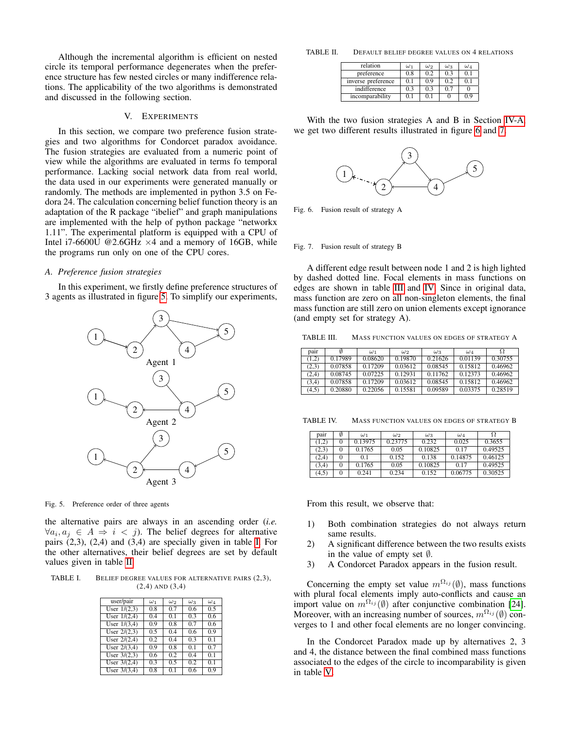Although the incremental algorithm is efficient on nested circle its temporal performance degenerates when the preference structure has few nested circles or many indifference relations. The applicability of the two algorithms is demonstrated and discussed in the following section.

# V. EXPERIMENTS

<span id="page-5-0"></span>In this section, we compare two preference fusion strategies and two algorithms for Condorcet paradox avoidance. The fusion strategies are evaluated from a numeric point of view while the algorithms are evaluated in terms fo temporal performance. Lacking social network data from real world, the data used in our experiments were generated manually or randomly. The methods are implemented in python 3.5 on Fedora 24. The calculation concerning belief function theory is an adaptation of the R package "ibelief" and graph manipulations are implemented with the help of python package "networkx 1.11". The experimental platform is equipped with a CPU of Intel i7-6600U @2.6GHz  $\times$ 4 and a memory of 16GB, while the programs run only on one of the CPU cores.

## *A. Preference fusion strategies*

In this experiment, we firstly define preference structures of 3 agents as illustrated in figure [5.](#page-5-1) To simplify our experiments,



<span id="page-5-1"></span>Fig. 5. Preference order of three agents

the alternative pairs are always in an ascending order (*i.e.*  $\forall a_i, a_j \in A \Rightarrow i < j$ ). The belief degrees for alternative pairs  $(2,3)$ ,  $(2,4)$  and  $(3,4)$  are specially given in table [I.](#page-5-2) For the other alternatives, their belief degrees are set by default values given in table [II.](#page-5-3)

TABLE I. BELIEF DEGREE VALUES FOR ALTERNATIVE PAIRS (2,3), (2,4) AND (3,4)

<span id="page-5-2"></span>

| user/pair      | $\omega_1$ | $\omega_2$ | $\omega$ <sub>3</sub> | $\omega_4$ |
|----------------|------------|------------|-----------------------|------------|
| User $1/(2,3)$ | 0.8        | 0.7        | 0.6                   | 0.5        |
| User $1/(2,4)$ | 0.4        | 0.1        | 0.3                   | 0.6        |
| User $1/(3,4)$ | 0.9        | 0.8        | 0.7                   | 0.6        |
| User $2/(2,3)$ | 0.5        | 0.4        | 0.6                   | 0.9        |
| User $2/(2,4)$ | 0.2        | 0.4        | 0.3                   | 0.1        |
| User $2/(3,4)$ | 0.9        | 0.8        | 0.1                   | 0.7        |
| User $3/(2,3)$ | 0.6        | 0.2        | 0.4                   | 0.1        |
| User $3/(2,4)$ | 0.3        | 0.5        | 0.2                   | 0.1        |
| User $3/(3,4)$ | 0.8        | 0.1        | 0.6                   | 0.9        |

TABLE II. DEFAULT BELIEF DEGREE VALUES ON 4 RELATIONS

<span id="page-5-3"></span>

| relation           | $\omega_1$ | $\omega_2$ | $\omega_3$ | $\omega_4$ |
|--------------------|------------|------------|------------|------------|
| preference         | 0.8        | 0.2        | 0.3        | 0.1        |
| inverse preference | 0.1        | 0.9        | 0.2        | 0.1        |
| indifference       | 0.3        | 0.3        | 0.7        |            |
| incomparability    | 01         | 01         |            | 0.9        |

With the two fusion strategies A and B in Section [IV-A,](#page-2-5) we get two different results illustrated in figure [6](#page-5-4) and [7.](#page-5-5)



<span id="page-5-4"></span>Fig. 6. Fusion result of strategy A

#### <span id="page-5-5"></span>Fig. 7. Fusion result of strategy B

A different edge result between node 1 and 2 is high lighted by dashed dotted line. Focal elements in mass functions on edges are shown in table [III](#page-5-6) and [IV.](#page-5-7) Since in original data, mass function are zero on all non-singleton elements, the final mass function are still zero on union elements except ignorance (and empty set for strategy A).

<span id="page-5-6"></span>TABLE III. MASS FUNCTION VALUES ON EDGES OF STRATEGY A

| pair  |         | $\omega_1$ | $\omega_2$ | $\omega_3$ | $\omega_4$ | Ω       |
|-------|---------|------------|------------|------------|------------|---------|
| (1,2) | 0.17989 | 0.08620    | 0.19870    | 0.21626    | 0.01139    | 0.30755 |
| (2,3) | 0.07858 | 0.17209    | 0.03612    | 0.08545    | 0.15812    | 0.46962 |
| (2,4) | 0.08745 | 0.07225    | 0.12931    | 0.11762    | 0.12373    | 0.46962 |
| (3,4) | 0.07858 | 0.17209    | 0.03612    | 0.08545    | 0.15812    | 0.46962 |
| (4.5) | 0.20880 | 0.22056    | 0.15581    | 0.09589    | 0.03375    | 0.28519 |

TABLE IV. MASS FUNCTION VALUES ON EDGES OF STRATEGY B

<span id="page-5-7"></span>

| pair  |   | $\omega_1$ | $\omega_2$ | $\omega_3$ | $\omega_4$ | Ω       |
|-------|---|------------|------------|------------|------------|---------|
| (1,2) |   | 0.13975    | 0.23775    | 0.232      | 0.025      | 0.3655  |
| (2,3) | 0 | 0.1765     | 0.05       | 0.10825    | 0.17       | 0.49525 |
| (2,4) |   | 0.1        | 0.152      | 0.138      | 0.14875    | 0.46125 |
| (3,4) | 0 | 0.1765     | 0.05       | 0.10825    | 0.17       | 0.49525 |
| (4.5) | 0 | 0.241      | 0.234      | 0.152      | 0.06775    | 0.30525 |

From this result, we observe that:

- 1) Both combination strategies do not always return same results.
- 2) A significant difference between the two results exists in the value of empty set ∅.
- 3) A Condorcet Paradox appears in the fusion result.

Concerning the empty set value  $m^{\Omega_{ij}}(\emptyset)$ , mass functions with plural focal elements imply auto-conflicts and cause an import value on  $m^{\Omega_{ij}}(\emptyset)$  after conjunctive combination [\[24\]](#page-7-24). Moreover, with an increasing number of sources,  $m^{\Omega_{ij}}(\emptyset)$  converges to 1 and other focal elements are no longer convincing.

In the Condorcet Paradox made up by alternatives 2, 3 and 4, the distance between the final combined mass functions associated to the edges of the circle to incomparability is given in table [V.](#page-6-0)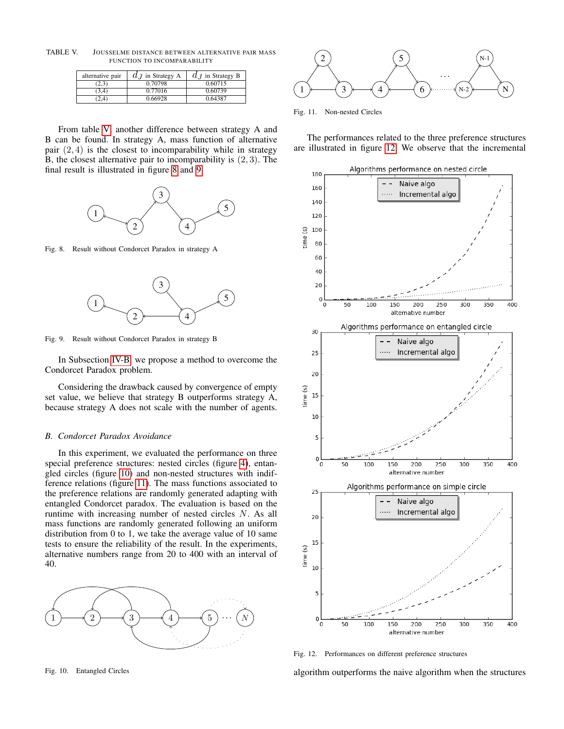TABLE V. JOUSSELME DISTANCE BETWEEN ALTERNATIVE PAIR MASS FUNCTION TO INCOMPARABILITY

<span id="page-6-0"></span>

| alternative pair | $d_J$ in Strategy A | $d_J$ in Strategy B |
|------------------|---------------------|---------------------|
| (2.3)            | 0.70798             | 0.60715             |
| (3.4)            | 0.77016             | 0.60739             |
| 2.4)             | 0.66928             | 0.64387             |

From table [V,](#page-6-0) another difference between strategy A and B can be found. In strategy A, mass function of alternative pair  $(2, 4)$  is the closest to incomparability while in strategy B, the closest alternative pair to incomparability is  $(2, 3)$ . The final result is illustrated in figure [8](#page-6-1) and [9.](#page-6-2)



<span id="page-6-1"></span>Fig. 8. Result without Condorcet Paradox in strategy A



<span id="page-6-2"></span>Fig. 9. Result without Condorcet Paradox in strategy B

In Subsection [IV-B,](#page-3-5) we propose a method to overcome the Condorcet Paradox problem.

Considering the drawback caused by convergence of empty set value, we believe that strategy B outperforms strategy A, because strategy A does not scale with the number of agents.

## *B. Condorcet Paradox Avoidance*

In this experiment, we evaluated the performance on three special preference structures: nested circles (figure [4\)](#page-4-1), entangled circles (figure [10\)](#page-6-3) and non-nested structures with indifference relations (figure [11\)](#page-6-4). The mass functions associated to the preference relations are randomly generated adapting with entangled Condorcet paradox. The evaluation is based on the runtime with increasing number of nested circles N. As all mass functions are randomly generated following an uniform distribution from 0 to 1, we take the average value of 10 same tests to ensure the reliability of the result. In the experiments, alternative numbers range from 20 to 400 with an interval of 40.





<span id="page-6-4"></span>Fig. 11. Non-nested Circles

The performances related to the three preference structures are illustrated in figure [12.](#page-6-5) We observe that the incremental



<span id="page-6-5"></span>Fig. 12. Performances on different preference structures

algorithm outperforms the naive algorithm when the structures

<span id="page-6-3"></span>Fig. 10. Entangled Circles